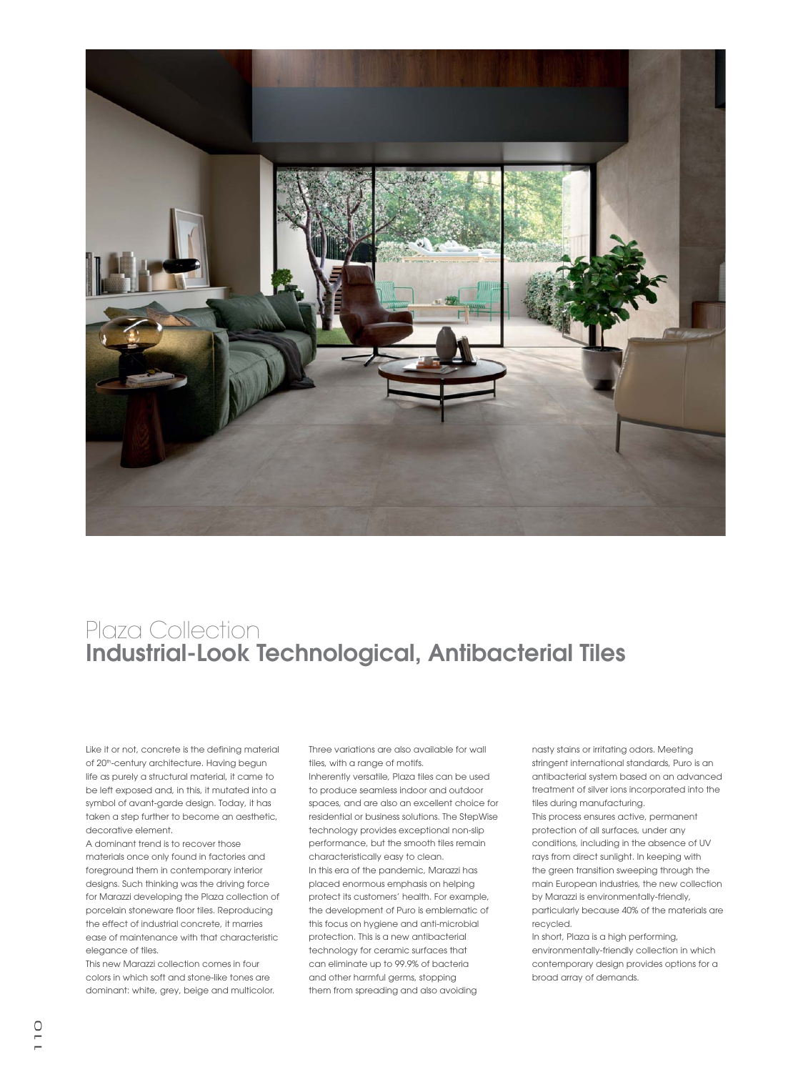

## Plaza Collection **Industrial-Look Technological, Antibacterial Tiles**

Like it or not, concrete is the defining material of 20<sup>th</sup>-century architecture. Having begun life as purely a structural material, it came to be left exposed and, in this, it mutated into a symbol of avant-garde design. Today, it has taken a step further to become an aesthetic, decorative element.

A dominant trend is to recover those materials once only found in factories and foreground them in contemporary interior designs. Such thinking was the driving force for Marazzi developing the Plaza collection of porcelain stoneware floor tiles. Reproducing the effect of industrial concrete, it marries ease of maintenance with that characteristic elegance of tiles.

This new Marazzi collection comes in four colors in which soft and stone-like tones are dominant: white, grey, beige and multicolor.

Three variations are also available for wall tiles, with a range of motifs.

Inherently versatile, Plaza tiles can be used to produce seamless indoor and outdoor spaces, and are also an excellent choice for residential or business solutions. The StepWise technology provides exceptional non-slip performance, but the smooth tiles remain characteristically easy to clean. In this era of the pandemic, Marazzi has placed enormous emphasis on helping protect its customers' health. For example, the development of Puro is emblematic of this focus on hygiene and anti-microbial protection. This is a new antibacterial technology for ceramic surfaces that can eliminate up to 99.9% of bacteria and other harmful germs, stopping them from spreading and also avoiding

nasty stains or irritating odors. Meeting stringent international standards, Puro is an antibacterial system based on an advanced treatment of silver ions incorporated into the tiles during manufacturing. This process ensures active, permanent protection of all surfaces, under any conditions, including in the absence of UV rays from direct sunlight. In keeping with the green transition sweeping through the main European industries, the new collection by Marazzi is environmentally-friendly,

particularly because 40% of the materials are recycled.

In short, Plaza is a high performing, environmentally-friendly collection in which contemporary design provides options for a broad array of demands.